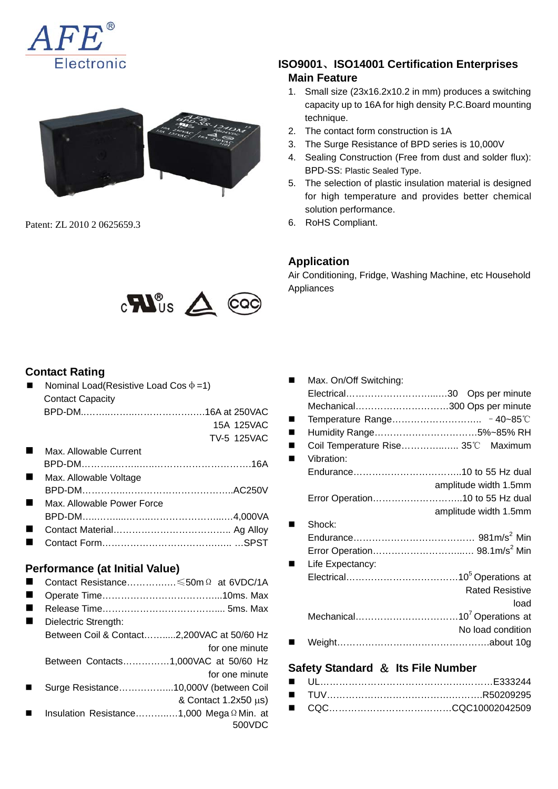



Patent: ZL 2010 2 0625659.3



## **Contact Rating**

| Nominal Load(Resistive Load Cos $\Phi = 1$ ) |                    |
|----------------------------------------------|--------------------|
| <b>Contact Capacity</b>                      |                    |
|                                              |                    |
|                                              | 15A 125VAC         |
|                                              | <b>TV-5 125VAC</b> |
| Max. Allowable Current                       |                    |
|                                              |                    |
| Max. Allowable Voltage                       |                    |
|                                              |                    |
| Max. Allowable Power Force                   |                    |
|                                              |                    |
|                                              |                    |
|                                              |                    |

Contact Form……………………………….….. …SPST

#### **Performance (at Initial Value)**  Contact Resistance………….…≤50mΩ at 6VDC/1A

| Dielectric Strength:                       |                |
|--------------------------------------------|----------------|
| Between Coil & Contact2,200VAC at 50/60 Hz |                |
|                                            | for one minute |
| Between Contacts1,000VAC at 50/60 Hz       |                |

- for one minute Surge Resistance……………...10,000V (between Coil
- & Contact 1.2x50 μs)
- Insulation Resistance………..…1,000 MegaΩMin. at 500VDC

## **ISO9001**、**ISO14001 Certification Enterprises Main Feature**

- 1. Small size (23x16.2x10.2 in mm) produces a switching capacity up to 16A for high density P.C.Board mounting technique.
- 2. The contact form construction is 1A
- 3. The Surge Resistance of BPD series is 10,000V
- 4. Sealing Construction (Free from dust and solder flux): BPD-SS: Plastic Sealed Type.
- 5. The selection of plastic insulation material is designed for high temperature and provides better chemical solution performance.
- 6. RoHS Compliant.

## **Application**

Air Conditioning, Fridge, Washing Machine, etc Household Appliances

| Max. On/Off Switching: |                                    |
|------------------------|------------------------------------|
|                        |                                    |
|                        | Mechanical300 Ops per minute       |
|                        |                                    |
|                        | Humidity Range5%~85% RH            |
|                        | Coil Temperature Rise 35°C Maximum |
| Vibration:             |                                    |
|                        |                                    |
|                        | amplitude width 1.5mm              |
|                        | Error Operation10 to 55 Hz dual    |
|                        | amplitude width 1.5mm              |
| Shock:                 |                                    |
|                        |                                    |
|                        |                                    |
| Life Expectancy:       |                                    |
|                        |                                    |
|                        | <b>Rated Resistive</b>             |
|                        | load                               |
|                        |                                    |
|                        | No load condition                  |
|                        |                                    |
|                        |                                    |

## **Safety Standard** & **Its File Number**